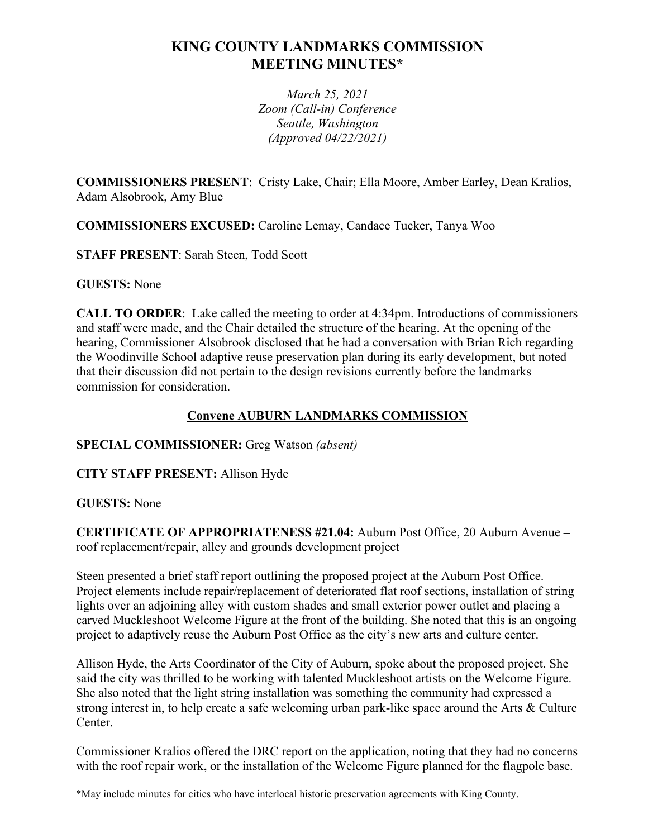# **KING COUNTY LANDMARKS COMMISSION MEETING MINUTES\***

*March 25, 2021 Zoom (Call-in) Conference Seattle, Washington (Approved 04/22/2021)*

**COMMISSIONERS PRESENT**: Cristy Lake, Chair; Ella Moore, Amber Earley, Dean Kralios, Adam Alsobrook, Amy Blue

**COMMISSIONERS EXCUSED:** Caroline Lemay, Candace Tucker, Tanya Woo

**STAFF PRESENT**: Sarah Steen, Todd Scott

**GUESTS:** None

**CALL TO ORDER**: Lake called the meeting to order at 4:34pm. Introductions of commissioners and staff were made, and the Chair detailed the structure of the hearing. At the opening of the hearing, Commissioner Alsobrook disclosed that he had a conversation with Brian Rich regarding the Woodinville School adaptive reuse preservation plan during its early development, but noted that their discussion did not pertain to the design revisions currently before the landmarks commission for consideration.

# **Convene AUBURN LANDMARKS COMMISSION**

**SPECIAL COMMISSIONER:** Greg Watson *(absent)*

**CITY STAFF PRESENT:** Allison Hyde

# **GUESTS:** None

**CERTIFICATE OF APPROPRIATENESS #21.04:** Auburn Post Office, 20 Auburn Avenue **–** roof replacement/repair, alley and grounds development project

Steen presented a brief staff report outlining the proposed project at the Auburn Post Office. Project elements include repair/replacement of deteriorated flat roof sections, installation of string lights over an adjoining alley with custom shades and small exterior power outlet and placing a carved Muckleshoot Welcome Figure at the front of the building. She noted that this is an ongoing project to adaptively reuse the Auburn Post Office as the city's new arts and culture center.

Allison Hyde, the Arts Coordinator of the City of Auburn, spoke about the proposed project. She said the city was thrilled to be working with talented Muckleshoot artists on the Welcome Figure. She also noted that the light string installation was something the community had expressed a strong interest in, to help create a safe welcoming urban park-like space around the Arts & Culture Center.

Commissioner Kralios offered the DRC report on the application, noting that they had no concerns with the roof repair work, or the installation of the Welcome Figure planned for the flagpole base.

\*May include minutes for cities who have interlocal historic preservation agreements with King County.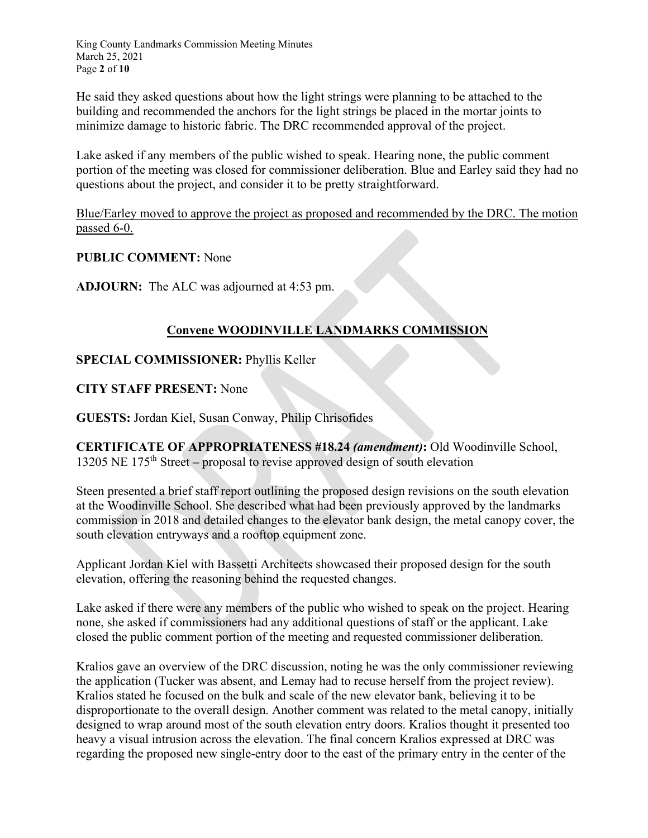King County Landmarks Commission Meeting Minutes March 25, 2021 Page **2** of **10**

He said they asked questions about how the light strings were planning to be attached to the building and recommended the anchors for the light strings be placed in the mortar joints to minimize damage to historic fabric. The DRC recommended approval of the project.

Lake asked if any members of the public wished to speak. Hearing none, the public comment portion of the meeting was closed for commissioner deliberation. Blue and Earley said they had no questions about the project, and consider it to be pretty straightforward.

Blue/Earley moved to approve the project as proposed and recommended by the DRC. The motion passed 6-0.

#### **PUBLIC COMMENT:** None

**ADJOURN:** The ALC was adjourned at 4:53 pm.

### **Convene WOODINVILLE LANDMARKS COMMISSION**

#### **SPECIAL COMMISSIONER:** Phyllis Keller

#### **CITY STAFF PRESENT:** None

**GUESTS:** Jordan Kiel, Susan Conway, Philip Chrisofides

**CERTIFICATE OF APPROPRIATENESS #18.24** *(amendment)***:** Old Woodinville School, 13205 NE 175th Street **–** proposal to revise approved design of south elevation

Steen presented a brief staff report outlining the proposed design revisions on the south elevation at the Woodinville School. She described what had been previously approved by the landmarks commission in 2018 and detailed changes to the elevator bank design, the metal canopy cover, the south elevation entryways and a rooftop equipment zone.

Applicant Jordan Kiel with Bassetti Architects showcased their proposed design for the south elevation, offering the reasoning behind the requested changes.

Lake asked if there were any members of the public who wished to speak on the project. Hearing none, she asked if commissioners had any additional questions of staff or the applicant. Lake closed the public comment portion of the meeting and requested commissioner deliberation.

Kralios gave an overview of the DRC discussion, noting he was the only commissioner reviewing the application (Tucker was absent, and Lemay had to recuse herself from the project review). Kralios stated he focused on the bulk and scale of the new elevator bank, believing it to be disproportionate to the overall design. Another comment was related to the metal canopy, initially designed to wrap around most of the south elevation entry doors. Kralios thought it presented too heavy a visual intrusion across the elevation. The final concern Kralios expressed at DRC was regarding the proposed new single-entry door to the east of the primary entry in the center of the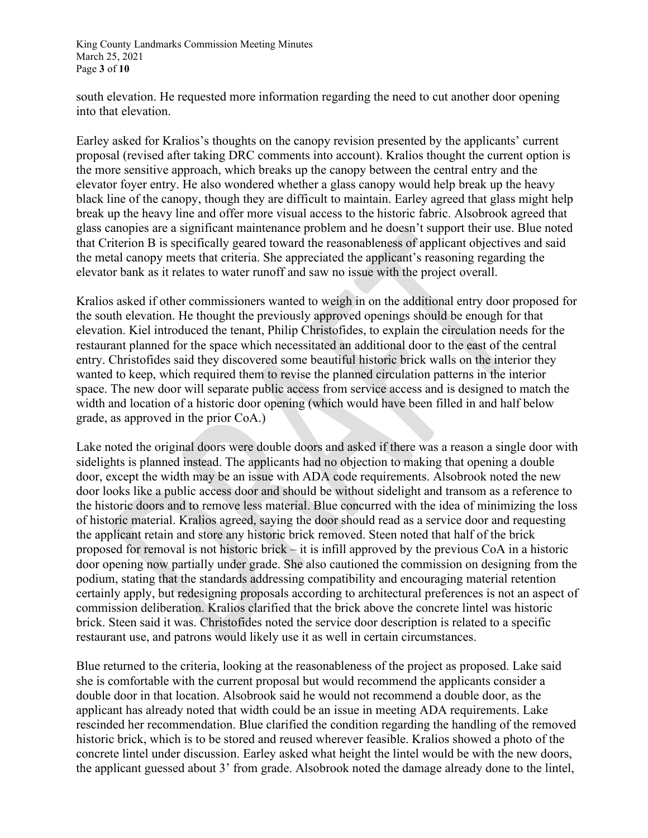King County Landmarks Commission Meeting Minutes March 25, 2021 Page **3** of **10**

south elevation. He requested more information regarding the need to cut another door opening into that elevation.

Earley asked for Kralios's thoughts on the canopy revision presented by the applicants' current proposal (revised after taking DRC comments into account). Kralios thought the current option is the more sensitive approach, which breaks up the canopy between the central entry and the elevator foyer entry. He also wondered whether a glass canopy would help break up the heavy black line of the canopy, though they are difficult to maintain. Earley agreed that glass might help break up the heavy line and offer more visual access to the historic fabric. Alsobrook agreed that glass canopies are a significant maintenance problem and he doesn't support their use. Blue noted that Criterion B is specifically geared toward the reasonableness of applicant objectives and said the metal canopy meets that criteria. She appreciated the applicant's reasoning regarding the elevator bank as it relates to water runoff and saw no issue with the project overall.

Kralios asked if other commissioners wanted to weigh in on the additional entry door proposed for the south elevation. He thought the previously approved openings should be enough for that elevation. Kiel introduced the tenant, Philip Christofides, to explain the circulation needs for the restaurant planned for the space which necessitated an additional door to the east of the central entry. Christofides said they discovered some beautiful historic brick walls on the interior they wanted to keep, which required them to revise the planned circulation patterns in the interior space. The new door will separate public access from service access and is designed to match the width and location of a historic door opening (which would have been filled in and half below grade, as approved in the prior CoA.)

Lake noted the original doors were double doors and asked if there was a reason a single door with sidelights is planned instead. The applicants had no objection to making that opening a double door, except the width may be an issue with ADA code requirements. Alsobrook noted the new door looks like a public access door and should be without sidelight and transom as a reference to the historic doors and to remove less material. Blue concurred with the idea of minimizing the loss of historic material. Kralios agreed, saying the door should read as a service door and requesting the applicant retain and store any historic brick removed. Steen noted that half of the brick proposed for removal is not historic brick – it is infill approved by the previous CoA in a historic door opening now partially under grade. She also cautioned the commission on designing from the podium, stating that the standards addressing compatibility and encouraging material retention certainly apply, but redesigning proposals according to architectural preferences is not an aspect of commission deliberation. Kralios clarified that the brick above the concrete lintel was historic brick. Steen said it was. Christofides noted the service door description is related to a specific restaurant use, and patrons would likely use it as well in certain circumstances.

Blue returned to the criteria, looking at the reasonableness of the project as proposed. Lake said she is comfortable with the current proposal but would recommend the applicants consider a double door in that location. Alsobrook said he would not recommend a double door, as the applicant has already noted that width could be an issue in meeting ADA requirements. Lake rescinded her recommendation. Blue clarified the condition regarding the handling of the removed historic brick, which is to be stored and reused wherever feasible. Kralios showed a photo of the concrete lintel under discussion. Earley asked what height the lintel would be with the new doors, the applicant guessed about 3' from grade. Alsobrook noted the damage already done to the lintel,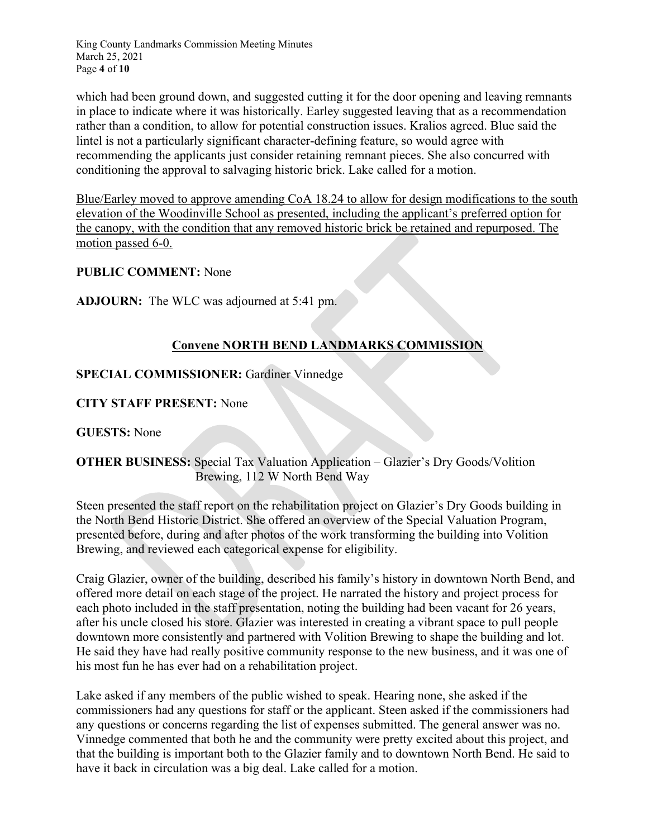King County Landmarks Commission Meeting Minutes March 25, 2021 Page **4** of **10**

which had been ground down, and suggested cutting it for the door opening and leaving remnants in place to indicate where it was historically. Earley suggested leaving that as a recommendation rather than a condition, to allow for potential construction issues. Kralios agreed. Blue said the lintel is not a particularly significant character-defining feature, so would agree with recommending the applicants just consider retaining remnant pieces. She also concurred with conditioning the approval to salvaging historic brick. Lake called for a motion.

Blue/Earley moved to approve amending CoA 18.24 to allow for design modifications to the south elevation of the Woodinville School as presented, including the applicant's preferred option for the canopy, with the condition that any removed historic brick be retained and repurposed. The motion passed 6-0.

### **PUBLIC COMMENT:** None

**ADJOURN:** The WLC was adjourned at 5:41 pm.

# **Convene NORTH BEND LANDMARKS COMMISSION**

#### **SPECIAL COMMISSIONER:** Gardiner Vinnedge

#### **CITY STAFF PRESENT:** None

**GUESTS:** None

### **OTHER BUSINESS:** Special Tax Valuation Application – Glazier's Dry Goods/Volition Brewing, 112 W North Bend Way

Steen presented the staff report on the rehabilitation project on Glazier's Dry Goods building in the North Bend Historic District. She offered an overview of the Special Valuation Program, presented before, during and after photos of the work transforming the building into Volition Brewing, and reviewed each categorical expense for eligibility.

Craig Glazier, owner of the building, described his family's history in downtown North Bend, and offered more detail on each stage of the project. He narrated the history and project process for each photo included in the staff presentation, noting the building had been vacant for 26 years, after his uncle closed his store. Glazier was interested in creating a vibrant space to pull people downtown more consistently and partnered with Volition Brewing to shape the building and lot. He said they have had really positive community response to the new business, and it was one of his most fun he has ever had on a rehabilitation project.

Lake asked if any members of the public wished to speak. Hearing none, she asked if the commissioners had any questions for staff or the applicant. Steen asked if the commissioners had any questions or concerns regarding the list of expenses submitted. The general answer was no. Vinnedge commented that both he and the community were pretty excited about this project, and that the building is important both to the Glazier family and to downtown North Bend. He said to have it back in circulation was a big deal. Lake called for a motion.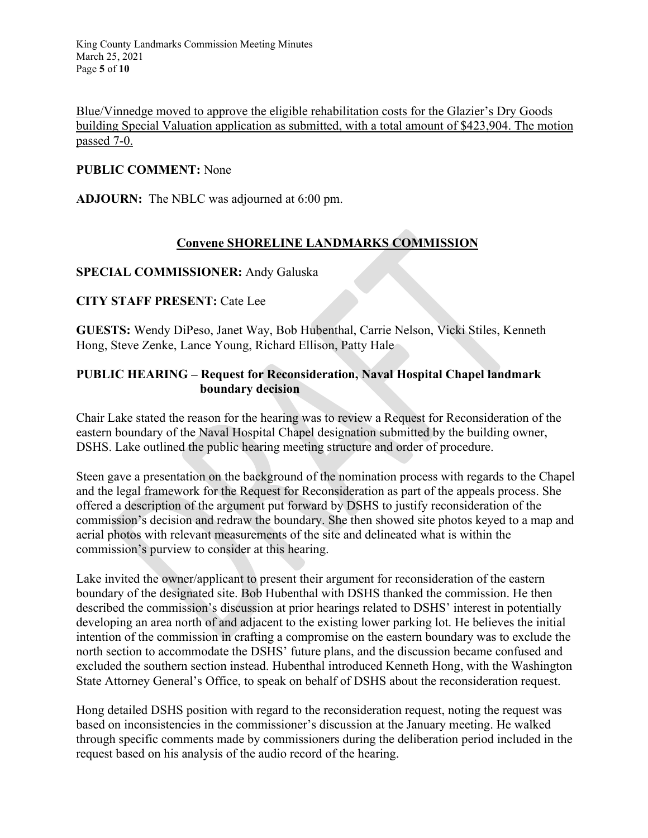Blue/Vinnedge moved to approve the eligible rehabilitation costs for the Glazier's Dry Goods building Special Valuation application as submitted, with a total amount of \$423,904. The motion passed 7-0.

#### **PUBLIC COMMENT:** None

**ADJOURN:** The NBLC was adjourned at 6:00 pm.

# **Convene SHORELINE LANDMARKS COMMISSION**

#### **SPECIAL COMMISSIONER:** Andy Galuska

#### **CITY STAFF PRESENT:** Cate Lee

**GUESTS:** Wendy DiPeso, Janet Way, Bob Hubenthal, Carrie Nelson, Vicki Stiles, Kenneth Hong, Steve Zenke, Lance Young, Richard Ellison, Patty Hale

#### **PUBLIC HEARING – Request for Reconsideration, Naval Hospital Chapel landmark boundary decision**

Chair Lake stated the reason for the hearing was to review a Request for Reconsideration of the eastern boundary of the Naval Hospital Chapel designation submitted by the building owner, DSHS. Lake outlined the public hearing meeting structure and order of procedure.

Steen gave a presentation on the background of the nomination process with regards to the Chapel and the legal framework for the Request for Reconsideration as part of the appeals process. She offered a description of the argument put forward by DSHS to justify reconsideration of the commission's decision and redraw the boundary. She then showed site photos keyed to a map and aerial photos with relevant measurements of the site and delineated what is within the commission's purview to consider at this hearing.

Lake invited the owner/applicant to present their argument for reconsideration of the eastern boundary of the designated site. Bob Hubenthal with DSHS thanked the commission. He then described the commission's discussion at prior hearings related to DSHS' interest in potentially developing an area north of and adjacent to the existing lower parking lot. He believes the initial intention of the commission in crafting a compromise on the eastern boundary was to exclude the north section to accommodate the DSHS' future plans, and the discussion became confused and excluded the southern section instead. Hubenthal introduced Kenneth Hong, with the Washington State Attorney General's Office, to speak on behalf of DSHS about the reconsideration request.

Hong detailed DSHS position with regard to the reconsideration request, noting the request was based on inconsistencies in the commissioner's discussion at the January meeting. He walked through specific comments made by commissioners during the deliberation period included in the request based on his analysis of the audio record of the hearing.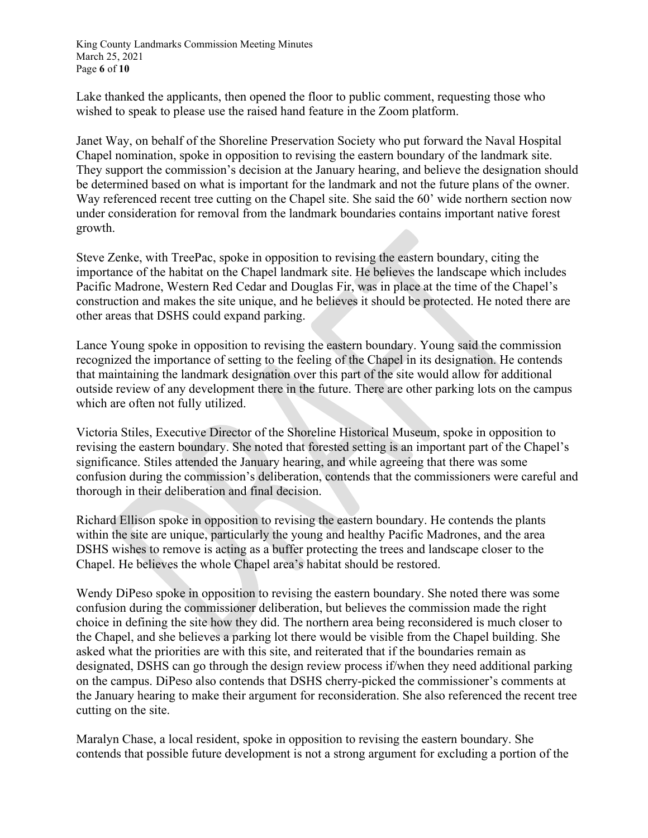King County Landmarks Commission Meeting Minutes March 25, 2021 Page **6** of **10**

Lake thanked the applicants, then opened the floor to public comment, requesting those who wished to speak to please use the raised hand feature in the Zoom platform.

Janet Way, on behalf of the Shoreline Preservation Society who put forward the Naval Hospital Chapel nomination, spoke in opposition to revising the eastern boundary of the landmark site. They support the commission's decision at the January hearing, and believe the designation should be determined based on what is important for the landmark and not the future plans of the owner. Way referenced recent tree cutting on the Chapel site. She said the 60' wide northern section now under consideration for removal from the landmark boundaries contains important native forest growth.

Steve Zenke, with TreePac, spoke in opposition to revising the eastern boundary, citing the importance of the habitat on the Chapel landmark site. He believes the landscape which includes Pacific Madrone, Western Red Cedar and Douglas Fir, was in place at the time of the Chapel's construction and makes the site unique, and he believes it should be protected. He noted there are other areas that DSHS could expand parking.

Lance Young spoke in opposition to revising the eastern boundary. Young said the commission recognized the importance of setting to the feeling of the Chapel in its designation. He contends that maintaining the landmark designation over this part of the site would allow for additional outside review of any development there in the future. There are other parking lots on the campus which are often not fully utilized.

Victoria Stiles, Executive Director of the Shoreline Historical Museum, spoke in opposition to revising the eastern boundary. She noted that forested setting is an important part of the Chapel's significance. Stiles attended the January hearing, and while agreeing that there was some confusion during the commission's deliberation, contends that the commissioners were careful and thorough in their deliberation and final decision.

Richard Ellison spoke in opposition to revising the eastern boundary. He contends the plants within the site are unique, particularly the young and healthy Pacific Madrones, and the area DSHS wishes to remove is acting as a buffer protecting the trees and landscape closer to the Chapel. He believes the whole Chapel area's habitat should be restored.

Wendy DiPeso spoke in opposition to revising the eastern boundary. She noted there was some confusion during the commissioner deliberation, but believes the commission made the right choice in defining the site how they did. The northern area being reconsidered is much closer to the Chapel, and she believes a parking lot there would be visible from the Chapel building. She asked what the priorities are with this site, and reiterated that if the boundaries remain as designated, DSHS can go through the design review process if/when they need additional parking on the campus. DiPeso also contends that DSHS cherry-picked the commissioner's comments at the January hearing to make their argument for reconsideration. She also referenced the recent tree cutting on the site.

Maralyn Chase, a local resident, spoke in opposition to revising the eastern boundary. She contends that possible future development is not a strong argument for excluding a portion of the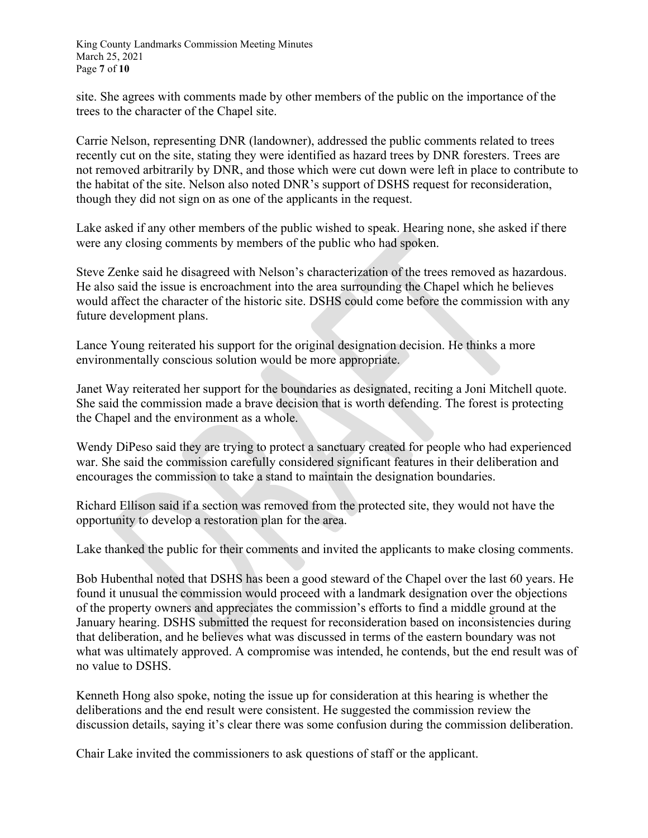King County Landmarks Commission Meeting Minutes March 25, 2021 Page **7** of **10**

site. She agrees with comments made by other members of the public on the importance of the trees to the character of the Chapel site.

Carrie Nelson, representing DNR (landowner), addressed the public comments related to trees recently cut on the site, stating they were identified as hazard trees by DNR foresters. Trees are not removed arbitrarily by DNR, and those which were cut down were left in place to contribute to the habitat of the site. Nelson also noted DNR's support of DSHS request for reconsideration, though they did not sign on as one of the applicants in the request.

Lake asked if any other members of the public wished to speak. Hearing none, she asked if there were any closing comments by members of the public who had spoken.

Steve Zenke said he disagreed with Nelson's characterization of the trees removed as hazardous. He also said the issue is encroachment into the area surrounding the Chapel which he believes would affect the character of the historic site. DSHS could come before the commission with any future development plans.

Lance Young reiterated his support for the original designation decision. He thinks a more environmentally conscious solution would be more appropriate.

Janet Way reiterated her support for the boundaries as designated, reciting a Joni Mitchell quote. She said the commission made a brave decision that is worth defending. The forest is protecting the Chapel and the environment as a whole.

Wendy DiPeso said they are trying to protect a sanctuary created for people who had experienced war. She said the commission carefully considered significant features in their deliberation and encourages the commission to take a stand to maintain the designation boundaries.

Richard Ellison said if a section was removed from the protected site, they would not have the opportunity to develop a restoration plan for the area.

Lake thanked the public for their comments and invited the applicants to make closing comments.

Bob Hubenthal noted that DSHS has been a good steward of the Chapel over the last 60 years. He found it unusual the commission would proceed with a landmark designation over the objections of the property owners and appreciates the commission's efforts to find a middle ground at the January hearing. DSHS submitted the request for reconsideration based on inconsistencies during that deliberation, and he believes what was discussed in terms of the eastern boundary was not what was ultimately approved. A compromise was intended, he contends, but the end result was of no value to DSHS.

Kenneth Hong also spoke, noting the issue up for consideration at this hearing is whether the deliberations and the end result were consistent. He suggested the commission review the discussion details, saying it's clear there was some confusion during the commission deliberation.

Chair Lake invited the commissioners to ask questions of staff or the applicant.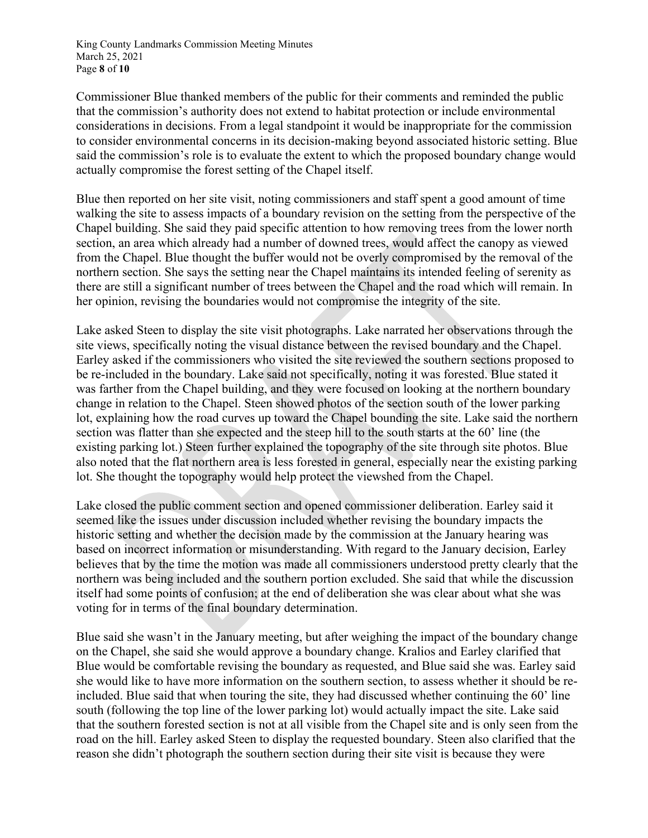King County Landmarks Commission Meeting Minutes March 25, 2021 Page **8** of **10**

Commissioner Blue thanked members of the public for their comments and reminded the public that the commission's authority does not extend to habitat protection or include environmental considerations in decisions. From a legal standpoint it would be inappropriate for the commission to consider environmental concerns in its decision-making beyond associated historic setting. Blue said the commission's role is to evaluate the extent to which the proposed boundary change would actually compromise the forest setting of the Chapel itself.

Blue then reported on her site visit, noting commissioners and staff spent a good amount of time walking the site to assess impacts of a boundary revision on the setting from the perspective of the Chapel building. She said they paid specific attention to how removing trees from the lower north section, an area which already had a number of downed trees, would affect the canopy as viewed from the Chapel. Blue thought the buffer would not be overly compromised by the removal of the northern section. She says the setting near the Chapel maintains its intended feeling of serenity as there are still a significant number of trees between the Chapel and the road which will remain. In her opinion, revising the boundaries would not compromise the integrity of the site.

Lake asked Steen to display the site visit photographs. Lake narrated her observations through the site views, specifically noting the visual distance between the revised boundary and the Chapel. Earley asked if the commissioners who visited the site reviewed the southern sections proposed to be re-included in the boundary. Lake said not specifically, noting it was forested. Blue stated it was farther from the Chapel building, and they were focused on looking at the northern boundary change in relation to the Chapel. Steen showed photos of the section south of the lower parking lot, explaining how the road curves up toward the Chapel bounding the site. Lake said the northern section was flatter than she expected and the steep hill to the south starts at the 60' line (the existing parking lot.) Steen further explained the topography of the site through site photos. Blue also noted that the flat northern area is less forested in general, especially near the existing parking lot. She thought the topography would help protect the viewshed from the Chapel.

Lake closed the public comment section and opened commissioner deliberation. Earley said it seemed like the issues under discussion included whether revising the boundary impacts the historic setting and whether the decision made by the commission at the January hearing was based on incorrect information or misunderstanding. With regard to the January decision, Earley believes that by the time the motion was made all commissioners understood pretty clearly that the northern was being included and the southern portion excluded. She said that while the discussion itself had some points of confusion; at the end of deliberation she was clear about what she was voting for in terms of the final boundary determination.

Blue said she wasn't in the January meeting, but after weighing the impact of the boundary change on the Chapel, she said she would approve a boundary change. Kralios and Earley clarified that Blue would be comfortable revising the boundary as requested, and Blue said she was. Earley said she would like to have more information on the southern section, to assess whether it should be reincluded. Blue said that when touring the site, they had discussed whether continuing the 60' line south (following the top line of the lower parking lot) would actually impact the site. Lake said that the southern forested section is not at all visible from the Chapel site and is only seen from the road on the hill. Earley asked Steen to display the requested boundary. Steen also clarified that the reason she didn't photograph the southern section during their site visit is because they were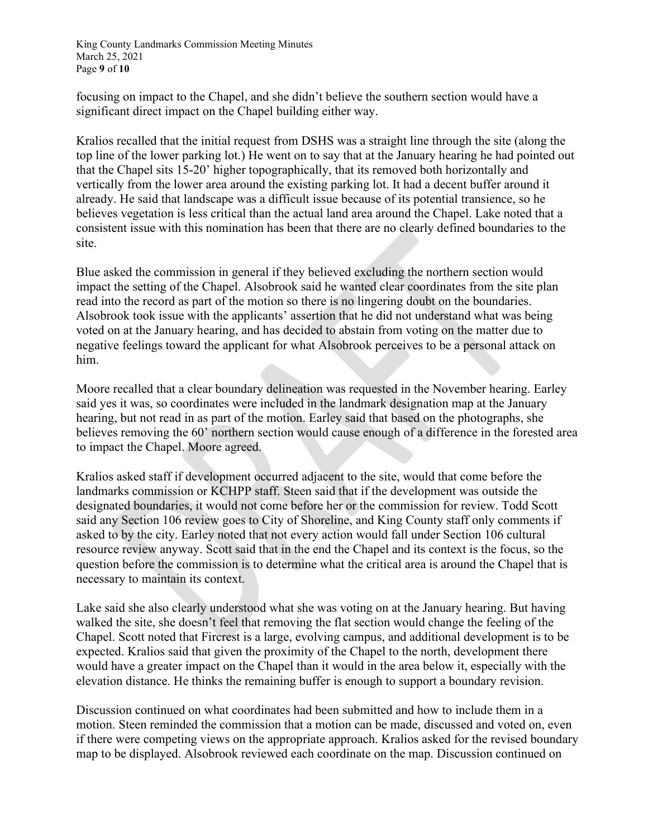King County Landmarks Commission Meeting Minutes March 25, 2021 Page **9** of **10**

focusing on impact to the Chapel, and she didn't believe the southern section would have a significant direct impact on the Chapel building either way.

Kralios recalled that the initial request from DSHS was a straight line through the site (along the top line of the lower parking lot.) He went on to say that at the January hearing he had pointed out that the Chapel sits 15-20' higher topographically, that its removed both horizontally and vertically from the lower area around the existing parking lot. It had a decent buffer around it already. He said that landscape was a difficult issue because of its potential transience, so he believes vegetation is less critical than the actual land area around the Chapel. Lake noted that a consistent issue with this nomination has been that there are no clearly defined boundaries to the site.

Blue asked the commission in general if they believed excluding the northern section would impact the setting of the Chapel. Alsobrook said he wanted clear coordinates from the site plan read into the record as part of the motion so there is no lingering doubt on the boundaries. Alsobrook took issue with the applicants' assertion that he did not understand what was being voted on at the January hearing, and has decided to abstain from voting on the matter due to negative feelings toward the applicant for what Alsobrook perceives to be a personal attack on him.

Moore recalled that a clear boundary delineation was requested in the November hearing. Earley said yes it was, so coordinates were included in the landmark designation map at the January hearing, but not read in as part of the motion. Earley said that based on the photographs, she believes removing the 60' northern section would cause enough of a difference in the forested area to impact the Chapel. Moore agreed.

Kralios asked staff if development occurred adjacent to the site, would that come before the landmarks commission or KCHPP staff. Steen said that if the development was outside the designated boundaries, it would not come before her or the commission for review. Todd Scott said any Section 106 review goes to City of Shoreline, and King County staff only comments if asked to by the city. Earley noted that not every action would fall under Section 106 cultural resource review anyway. Scott said that in the end the Chapel and its context is the focus, so the question before the commission is to determine what the critical area is around the Chapel that is necessary to maintain its context.

Lake said she also clearly understood what she was voting on at the January hearing. But having walked the site, she doesn't feel that removing the flat section would change the feeling of the Chapel. Scott noted that Fircrest is a large, evolving campus, and additional development is to be expected. Kralios said that given the proximity of the Chapel to the north, development there would have a greater impact on the Chapel than it would in the area below it, especially with the elevation distance. He thinks the remaining buffer is enough to support a boundary revision.

Discussion continued on what coordinates had been submitted and how to include them in a motion. Steen reminded the commission that a motion can be made, discussed and voted on, even if there were competing views on the appropriate approach. Kralios asked for the revised boundary map to be displayed. Alsobrook reviewed each coordinate on the map. Discussion continued on